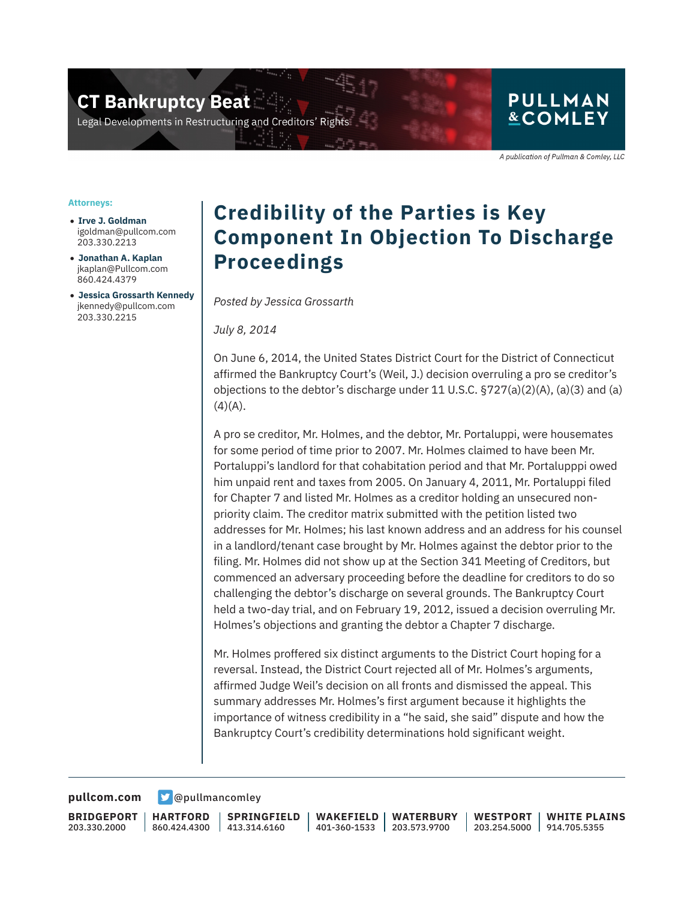**CT Bankruptcy Beat** 

Legal Developments in Restructuring and Creditors' Rigl

## **PULLMAN &COMLEY**

A publication of Pullman & Comley, LLC

#### **Attorneys:**

- **Irve J. Goldman** igoldman@pullcom.com 203.330.2213
- **Jonathan A. Kaplan** jkaplan@Pullcom.com 860.424.4379
- **Jessica Grossarth Kennedy** jkennedy@pullcom.com 203.330.2215

# **Credibility of the Parties is Key Component In Objection To Discharge Proceedings**

*Posted by Jessica Grossarth* 

*July 8, 2014*

On June 6, 2014, the United States District Court for the District of Connecticut affirmed the Bankruptcy Court's (Weil, J.) decision overruling a pro se creditor's objections to the debtor's discharge under 11 U.S.C.  $\S$ 727(a)(2)(A), (a)(3) and (a)  $(4)(A)$ .

A pro se creditor, Mr. Holmes, and the debtor, Mr. Portaluppi, were housemates for some period of time prior to 2007. Mr. Holmes claimed to have been Mr. Portaluppi's landlord for that cohabitation period and that Mr. Portalupppi owed him unpaid rent and taxes from 2005. On January 4, 2011, Mr. Portaluppi filed for Chapter 7 and listed Mr. Holmes as a creditor holding an unsecured nonpriority claim. The creditor matrix submitted with the petition listed two addresses for Mr. Holmes; his last known address and an address for his counsel in a landlord/tenant case brought by Mr. Holmes against the debtor prior to the filing. Mr. Holmes did not show up at the Section 341 Meeting of Creditors, but commenced an adversary proceeding before the deadline for creditors to do so challenging the debtor's discharge on several grounds. The Bankruptcy Court held a two-day trial, and on February 19, 2012, issued a decision overruling Mr. Holmes's objections and granting the debtor a Chapter 7 discharge.

Mr. Holmes proffered six distinct arguments to the District Court hoping for a reversal. Instead, the District Court rejected all of Mr. Holmes's arguments, affirmed Judge Weil's decision on all fronts and dismissed the appeal. This summary addresses Mr. Holmes's first argument because it highlights the importance of witness credibility in a "he said, she said" dispute and how the Bankruptcy Court's credibility determinations hold significant weight.

**[pullcom.com](https://www.pullcom.com) g** [@pullmancomley](https://twitter.com/PullmanComley)

**BRIDGEPORT** 203.330.2000

**HARTFORD** 860.424.4300

**SPRINGFIELD** 413.314.6160

**WAKEFIELD** 401-360-1533 203.573.9700 **WATERBURY**

**WESTPORT** 203.254.5000 914.705.5355 **WHITE PLAINS**